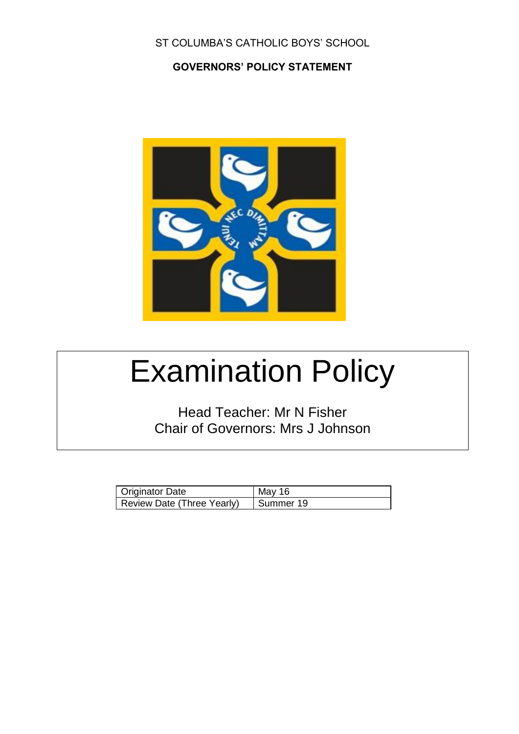#### ST COLUMBA'S CATHOLIC BOYS' SCHOOL

#### **GOVERNORS' POLICY STATEMENT**



# Examination Policy

Head Teacher: Mr N Fisher Chair of Governors: Mrs J Johnson

| Originator Date            | Mav 16      |
|----------------------------|-------------|
| Review Date (Three Yearly) | I Summer 19 |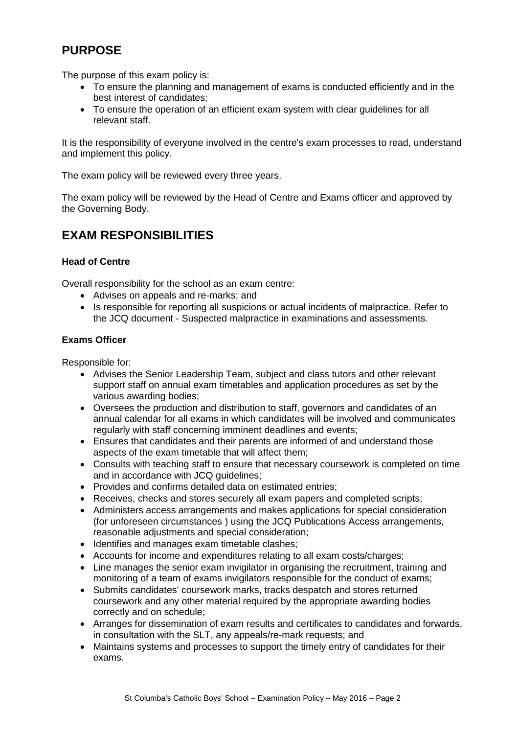# **PURPOSE**

The purpose of this exam policy is:

- To ensure the planning and management of exams is conducted efficiently and in the best interest of candidates;
- To ensure the operation of an efficient exam system with clear guidelines for all relevant staff.

It is the responsibility of everyone involved in the centre's exam processes to read, understand and implement this policy.

The exam policy will be reviewed every three years.

The exam policy will be reviewed by the Head of Centre and Exams officer and approved by the Governing Body.

## **EXAM RESPONSIBILITIES**

#### **Head of Centre**

Overall responsibility for the school as an exam centre:

- Advises on appeals and re-marks; and
- Is responsible for reporting all suspicions or actual incidents of malpractice. Refer to the JCQ document - Suspected malpractice in examinations and assessments.

#### **Exams Officer**

Responsible for:

- Advises the Senior Leadership Team, subject and class tutors and other relevant support staff on annual exam timetables and application procedures as set by the various awarding bodies;
- Oversees the production and distribution to staff, governors and candidates of an annual calendar for all exams in which candidates will be involved and communicates regularly with staff concerning imminent deadlines and events;
- Ensures that candidates and their parents are informed of and understand those aspects of the exam timetable that will affect them;
- Consults with teaching staff to ensure that necessary coursework is completed on time and in accordance with JCQ guidelines;
- Provides and confirms detailed data on estimated entries:
- Receives, checks and stores securely all exam papers and completed scripts;
- Administers access arrangements and makes applications for special consideration (for unforeseen circumstances ) using the JCQ Publications Access arrangements, reasonable adjustments and special consideration;
- Identifies and manages exam timetable clashes;
- Accounts for income and expenditures relating to all exam costs/charges;
- Line manages the senior exam invigilator in organising the recruitment, training and monitoring of a team of exams invigilators responsible for the conduct of exams;
- Submits candidates' coursework marks, tracks despatch and stores returned coursework and any other material required by the appropriate awarding bodies correctly and on schedule;
- Arranges for dissemination of exam results and certificates to candidates and forwards, in consultation with the SLT, any appeals/re-mark requests; and
- Maintains systems and processes to support the timely entry of candidates for their exams.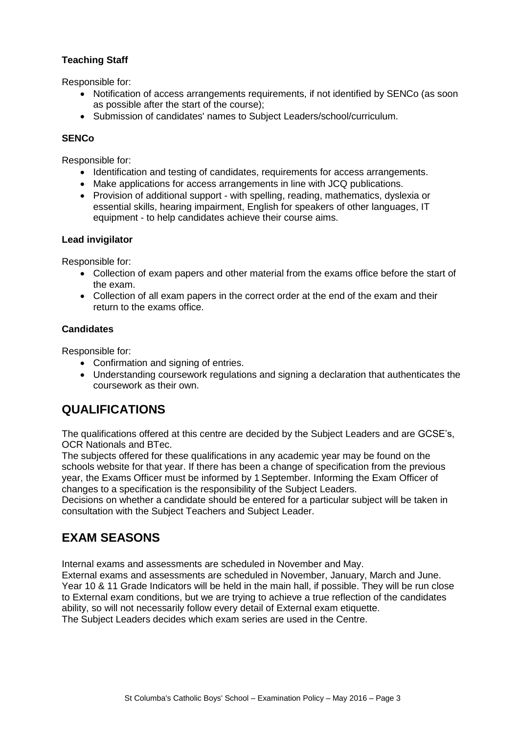#### **Teaching Staff**

Responsible for:

- Notification of access arrangements requirements, if not identified by SENCo (as soon as possible after the start of the course);
- Submission of candidates' names to Subiect Leaders/school/curriculum.

#### **SENCo**

Responsible for:

- Identification and testing of candidates, requirements for access arrangements.
- Make applications for access arrangements in line with JCQ publications.
- Provision of additional support with spelling, reading, mathematics, dyslexia or essential skills, hearing impairment, English for speakers of other languages, IT equipment - to help candidates achieve their course aims.

#### **Lead invigilator**

Responsible for:

- Collection of exam papers and other material from the exams office before the start of the exam.
- Collection of all exam papers in the correct order at the end of the exam and their return to the exams office.

#### **Candidates**

Responsible for:

- Confirmation and signing of entries.
- Understanding coursework regulations and signing a declaration that authenticates the coursework as their own.

## **QUALIFICATIONS**

The qualifications offered at this centre are decided by the Subject Leaders and are GCSE's, OCR Nationals and BTec.

The subjects offered for these qualifications in any academic year may be found on the schools website for that year. If there has been a change of specification from the previous year, the Exams Officer must be informed by 1 September. Informing the Exam Officer of changes to a specification is the responsibility of the Subject Leaders.

Decisions on whether a candidate should be entered for a particular subject will be taken in consultation with the Subject Teachers and Subject Leader.

## **EXAM SEASONS**

Internal exams and assessments are scheduled in November and May.

External exams and assessments are scheduled in November, January, March and June. Year 10 & 11 Grade Indicators will be held in the main hall, if possible. They will be run close to External exam conditions, but we are trying to achieve a true reflection of the candidates ability, so will not necessarily follow every detail of External exam etiquette. The Subject Leaders decides which exam series are used in the Centre.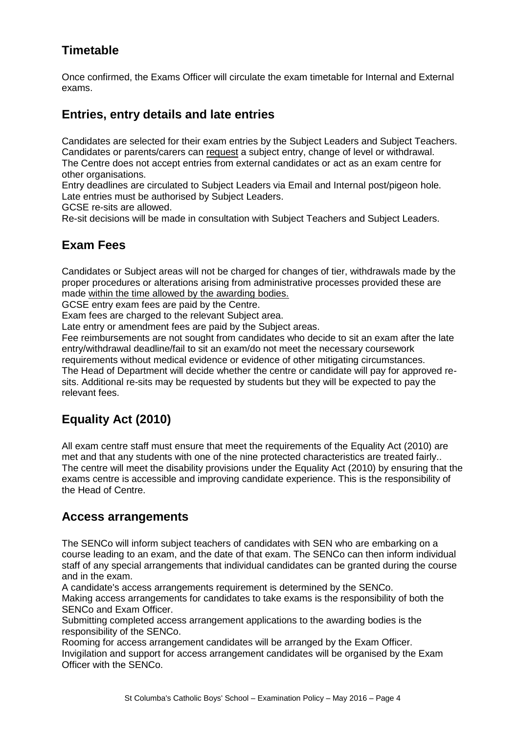# **Timetable**

Once confirmed, the Exams Officer will circulate the exam timetable for Internal and External exams.

## **Entries, entry details and late entries**

Candidates are selected for their exam entries by the Subject Leaders and Subject Teachers. Candidates or parents/carers can request a subject entry, change of level or withdrawal. The Centre does not accept entries from external candidates or act as an exam centre for other organisations.

Entry deadlines are circulated to Subject Leaders via Email and Internal post/pigeon hole. Late entries must be authorised by Subject Leaders.

GCSE re-sits are allowed.

Re-sit decisions will be made in consultation with Subject Teachers and Subject Leaders.

## **Exam Fees**

Candidates or Subject areas will not be charged for changes of tier, withdrawals made by the proper procedures or alterations arising from administrative processes provided these are made within the time allowed by the awarding bodies.

GCSE entry exam fees are paid by the Centre.

Exam fees are charged to the relevant Subject area.

Late entry or amendment fees are paid by the Subject areas.

Fee reimbursements are not sought from candidates who decide to sit an exam after the late entry/withdrawal deadline/fail to sit an exam/do not meet the necessary coursework

requirements without medical evidence or evidence of other mitigating circumstances. The Head of Department will decide whether the centre or candidate will pay for approved resits. Additional re-sits may be requested by students but they will be expected to pay the relevant fees.

# **Equality Act (2010)**

All exam centre staff must ensure that meet the requirements of the Equality Act (2010) are met and that any students with one of the nine protected characteristics are treated fairly.. The centre will meet the disability provisions under the Equality Act (2010) by ensuring that the exams centre is accessible and improving candidate experience. This is the responsibility of the Head of Centre.

## **Access arrangements**

The SENCo will inform subject teachers of candidates with SEN who are embarking on a course leading to an exam, and the date of that exam. The SENCo can then inform individual staff of any special arrangements that individual candidates can be granted during the course and in the exam.

A candidate's access arrangements requirement is determined by the SENCo.

Making access arrangements for candidates to take exams is the responsibility of both the SENCo and Exam Officer.

Submitting completed access arrangement applications to the awarding bodies is the responsibility of the SENCo.

Rooming for access arrangement candidates will be arranged by the Exam Officer. Invigilation and support for access arrangement candidates will be organised by the Exam Officer with the SENCo.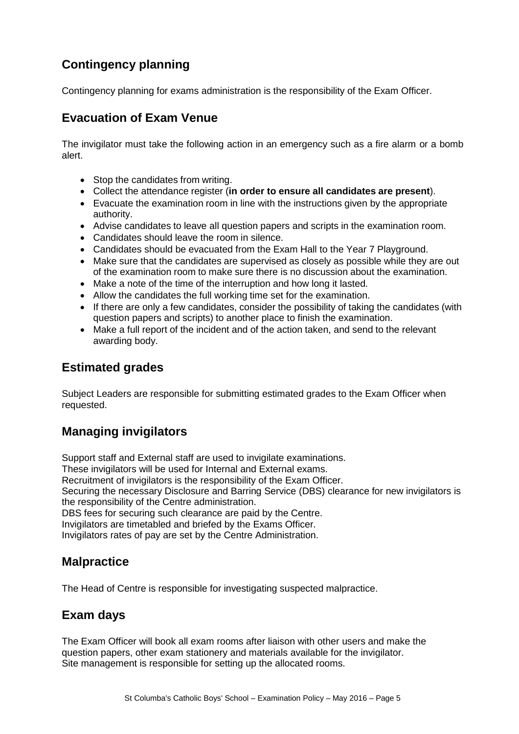# **Contingency planning**

Contingency planning for exams administration is the responsibility of the Exam Officer.

## **Evacuation of Exam Venue**

The invigilator must take the following action in an emergency such as a fire alarm or a bomb alert.

- Stop the candidates from writing.
- Collect the attendance register (**in order to ensure all candidates are present**).
- Evacuate the examination room in line with the instructions given by the appropriate authority.
- Advise candidates to leave all question papers and scripts in the examination room.
- Candidates should leave the room in silence.
- Candidates should be evacuated from the Exam Hall to the Year 7 Playground.
- Make sure that the candidates are supervised as closely as possible while they are out of the examination room to make sure there is no discussion about the examination.
- Make a note of the time of the interruption and how long it lasted.
- Allow the candidates the full working time set for the examination.
- If there are only a few candidates, consider the possibility of taking the candidates (with question papers and scripts) to another place to finish the examination.
- Make a full report of the incident and of the action taken, and send to the relevant awarding body.

## **Estimated grades**

Subject Leaders are responsible for submitting estimated grades to the Exam Officer when requested.

# **Managing invigilators**

Support staff and External staff are used to invigilate examinations. These invigilators will be used for Internal and External exams. Recruitment of invigilators is the responsibility of the Exam Officer. Securing the necessary Disclosure and Barring Service (DBS) clearance for new invigilators is the responsibility of the Centre administration. DBS fees for securing such clearance are paid by the Centre. Invigilators are timetabled and briefed by the Exams Officer. Invigilators rates of pay are set by the Centre Administration.

## **Malpractice**

The Head of Centre is responsible for investigating suspected malpractice.

### **Exam days**

The Exam Officer will book all exam rooms after liaison with other users and make the question papers, other exam stationery and materials available for the invigilator. Site management is responsible for setting up the allocated rooms.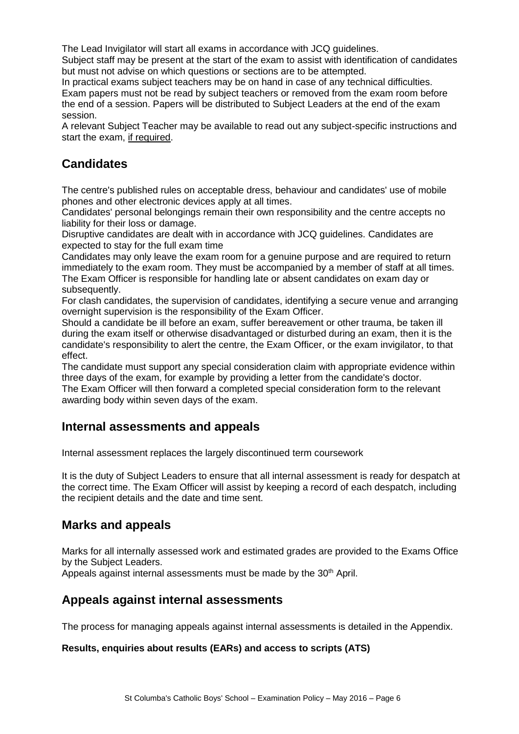The Lead Invigilator will start all exams in accordance with JCQ guidelines.

Subject staff may be present at the start of the exam to assist with identification of candidates but must not advise on which questions or sections are to be attempted.

In practical exams subject teachers may be on hand in case of any technical difficulties. Exam papers must not be read by subject teachers or removed from the exam room before the end of a session. Papers will be distributed to Subject Leaders at the end of the exam session.

A relevant Subject Teacher may be available to read out any subject-specific instructions and start the exam, if required.

## **Candidates**

The centre's published rules on acceptable dress, behaviour and candidates' use of mobile phones and other electronic devices apply at all times.

Candidates' personal belongings remain their own responsibility and the centre accepts no liability for their loss or damage.

Disruptive candidates are dealt with in accordance with JCQ guidelines. Candidates are expected to stay for the full exam time

Candidates may only leave the exam room for a genuine purpose and are required to return immediately to the exam room. They must be accompanied by a member of staff at all times. The Exam Officer is responsible for handling late or absent candidates on exam day or subsequently.

For clash candidates, the supervision of candidates, identifying a secure venue and arranging overnight supervision is the responsibility of the Exam Officer.

Should a candidate be ill before an exam, suffer bereavement or other trauma, be taken ill during the exam itself or otherwise disadvantaged or disturbed during an exam, then it is the candidate's responsibility to alert the centre, the Exam Officer, or the exam invigilator, to that effect.

The candidate must support any special consideration claim with appropriate evidence within three days of the exam, for example by providing a letter from the candidate's doctor.

The Exam Officer will then forward a completed special consideration form to the relevant awarding body within seven days of the exam.

### **Internal assessments and appeals**

Internal assessment replaces the largely discontinued term coursework

It is the duty of Subject Leaders to ensure that all internal assessment is ready for despatch at the correct time. The Exam Officer will assist by keeping a record of each despatch, including the recipient details and the date and time sent.

## **Marks and appeals**

Marks for all internally assessed work and estimated grades are provided to the Exams Office by the Subject Leaders.

Appeals against internal assessments must be made by the 30<sup>th</sup> April.

## **Appeals against internal assessments**

The process for managing appeals against internal assessments is detailed in the Appendix.

#### **Results, enquiries about results (EARs) and access to scripts (ATS)**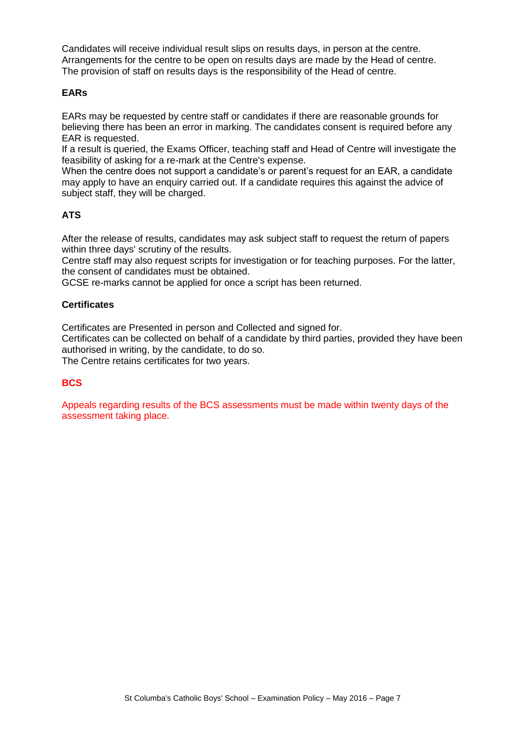Candidates will receive individual result slips on results days, in person at the centre. Arrangements for the centre to be open on results days are made by the Head of centre. The provision of staff on results days is the responsibility of the Head of centre.

#### **EARs**

EARs may be requested by centre staff or candidates if there are reasonable grounds for believing there has been an error in marking. The candidates consent is required before any EAR is requested.

If a result is queried, the Exams Officer, teaching staff and Head of Centre will investigate the feasibility of asking for a re-mark at the Centre's expense.

When the centre does not support a candidate's or parent's request for an EAR, a candidate may apply to have an enquiry carried out. If a candidate requires this against the advice of subject staff, they will be charged.

#### **ATS**

After the release of results, candidates may ask subject staff to request the return of papers within three days' scrutiny of the results.

Centre staff may also request scripts for investigation or for teaching purposes. For the latter, the consent of candidates must be obtained.

GCSE re-marks cannot be applied for once a script has been returned.

#### **Certificates**

Certificates are Presented in person and Collected and signed for.

Certificates can be collected on behalf of a candidate by third parties, provided they have been authorised in writing, by the candidate, to do so.

The Centre retains certificates for two years.

#### **BCS**

Appeals regarding results of the BCS assessments must be made within twenty days of the assessment taking place.